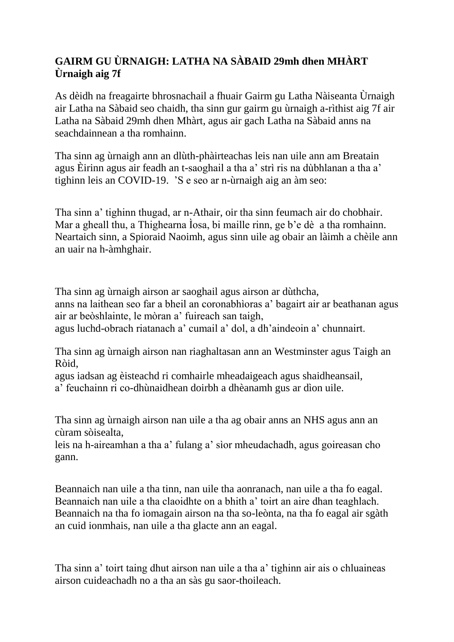## **GAIRM GU ÙRNAIGH: LATHA NA SÀBAID 29mh dhen MHÀRT Ùrnaigh aig 7f**

As dèidh na freagairte bhrosnachail a fhuair Gairm gu Latha Nàiseanta Ùrnaigh air Latha na Sàbaid seo chaidh, tha sinn gur gairm gu ùrnaigh a-rìthist aig 7f air Latha na Sàbaid 29mh dhen Mhàrt, agus air gach Latha na Sàbaid anns na seachdainnean a tha romhainn.

Tha sinn ag ùrnaigh ann an dlùth-phàirteachas leis nan uile ann am Breatain agus Èirinn agus air feadh an t-saoghail a tha a' strì ris na dùbhlanan a tha a' tighinn leis an COVID-19. 'S e seo ar n-ùrnaigh aig an àm seo:

Tha sinn a' tighinn thugad, ar n-Athair, oir tha sinn feumach air do chobhair. Mar a gheall thu, a Thighearna Ìosa, bi maille rinn, ge b'e dè a tha romhainn. Neartaich sinn, a Spioraid Naoimh, agus sinn uile ag obair an làimh a chèile ann an uair na h-àmhghair.

Tha sinn ag ùrnaigh airson ar saoghail agus airson ar dùthcha, anns na laithean seo far a bheil an coronabhìoras a' bagairt air ar beathanan agus air ar beòshlainte, le mòran a' fuireach san taigh, agus luchd-obrach riatanach a' cumail a' dol, a dh'aindeoin a' chunnairt.

Tha sinn ag ùrnaigh airson nan riaghaltasan ann an Westminster agus Taigh an Ròid,

agus iadsan ag èisteachd ri comhairle mheadaigeach agus shaidheansail, a' feuchainn ri co-dhùnaidhean doirbh a dhèanamh gus ar dìon uile.

Tha sinn ag ùrnaigh airson nan uile a tha ag obair anns an NHS agus ann an cùram sòisealta,

leis na h-aireamhan a tha a' fulang a' sìor mheudachadh, agus goireasan cho gann.

Beannaich nan uile a tha tinn, nan uile tha aonranach, nan uile a tha fo eagal. Beannaich nan uile a tha claoidhte on a bhith a' toirt an aire dhan teaghlach. Beannaich na tha fo iomagain airson na tha so-leònta, na tha fo eagal air sgàth an cuid ionmhais, nan uile a tha glacte ann an eagal.

Tha sinn a' toirt taing dhut airson nan uile a tha a' tighinn air ais o chluaineas airson cuideachadh no a tha an sàs gu saor-thoileach.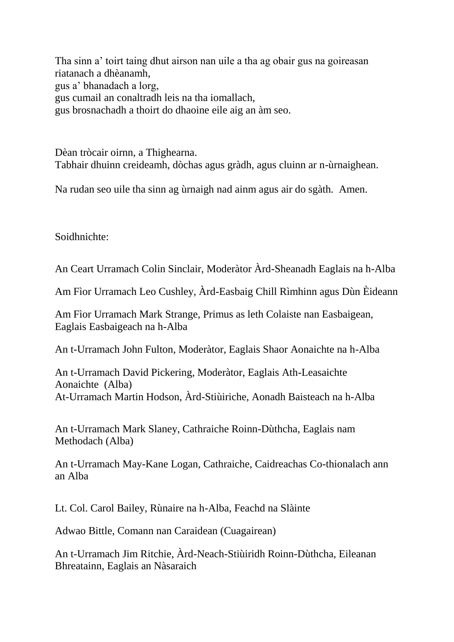Tha sinn a' toirt taing dhut airson nan uile a tha ag obair gus na goireasan riatanach a dhèanamh, gus a' bhanadach a lorg, gus cumail an conaltradh leis na tha iomallach, gus brosnachadh a thoirt do dhaoine eile aig an àm seo.

Dèan tròcair oirnn, a Thighearna. Tabhair dhuinn creideamh, dòchas agus gràdh, agus cluinn ar n-ùrnaighean.

Na rudan seo uile tha sinn ag ùrnaigh nad ainm agus air do sgàth. Amen.

Soidhnichte:

An Ceart Urramach Colin Sinclair, Moderàtor Àrd-Sheanadh Eaglais na h-Alba

Am Fìor Urramach Leo Cushley, Àrd-Easbaig Chill Rìmhinn agus Dùn Èideann

Am Fìor Urramach Mark Strange, Primus as leth Colaiste nan Easbaigean, Eaglais Easbaigeach na h-Alba

An t-Urramach John Fulton, Moderàtor, Eaglais Shaor Aonaichte na h-Alba

An t-Urramach David Pickering, Moderàtor, Eaglais Ath-Leasaichte Aonaichte (Alba) At-Urramach Martin Hodson, Àrd-Stiùiriche, Aonadh Baisteach na h-Alba

An t-Urramach Mark Slaney, Cathraiche Roinn-Dùthcha, Eaglais nam Methodach (Alba)

An t-Urramach May-Kane Logan, Cathraiche, Caidreachas Co-thionalach ann an Alba

Lt. Col. Carol Bailey, Rùnaire na h-Alba, Feachd na Slàinte

Adwao Bittle, Comann nan Caraidean (Cuagairean)

An t-Urramach Jim Ritchie, Àrd-Neach-Stiùiridh Roinn-Dùthcha, Eileanan Bhreatainn, Eaglais an Nàsaraich